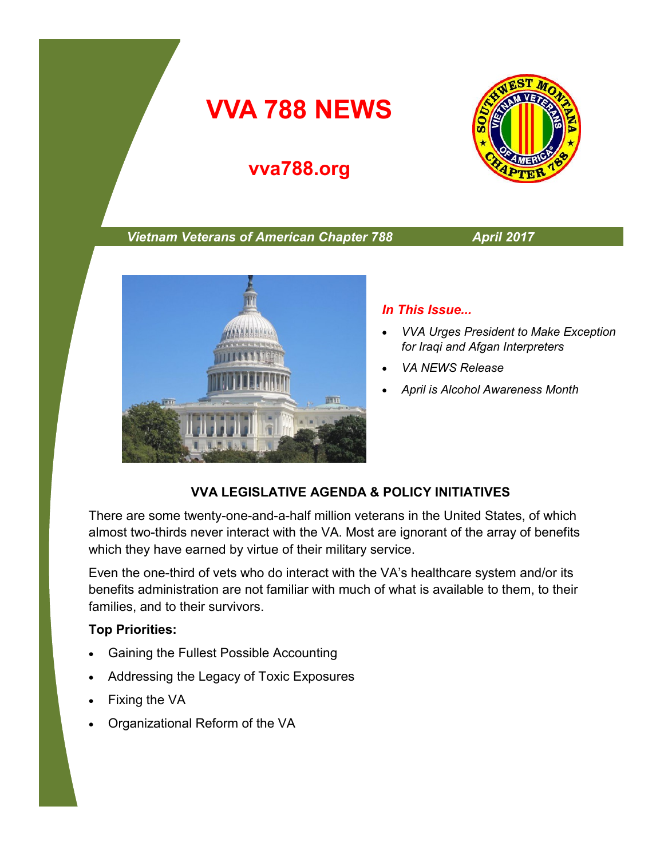# **VVA 788 NEWS**

# **vva788.org**



#### *Vietnam Veterans of American Chapter 788 April 2017*



#### *In This Issue...*

- *VVA Urges President to Make Exception for Iraqi and Afgan Interpreters*
- *VA NEWS Release*
- *April is Alcohol Awareness Month*

#### **VVA LEGISLATIVE AGENDA & POLICY INITIATIVES**

There are some twenty-one-and-a-half million veterans in the United States, of which almost two-thirds never interact with the VA. Most are ignorant of the array of benefits which they have earned by virtue of their military service.

Even the one-third of vets who do interact with the VA's healthcare system and/or its benefits administration are not familiar with much of what is available to them, to their families, and to their survivors.

#### **Top Priorities:**

- Gaining the Fullest Possible Accounting
- Addressing the Legacy of Toxic Exposures
- Fixing the VA
- Organizational Reform of the VA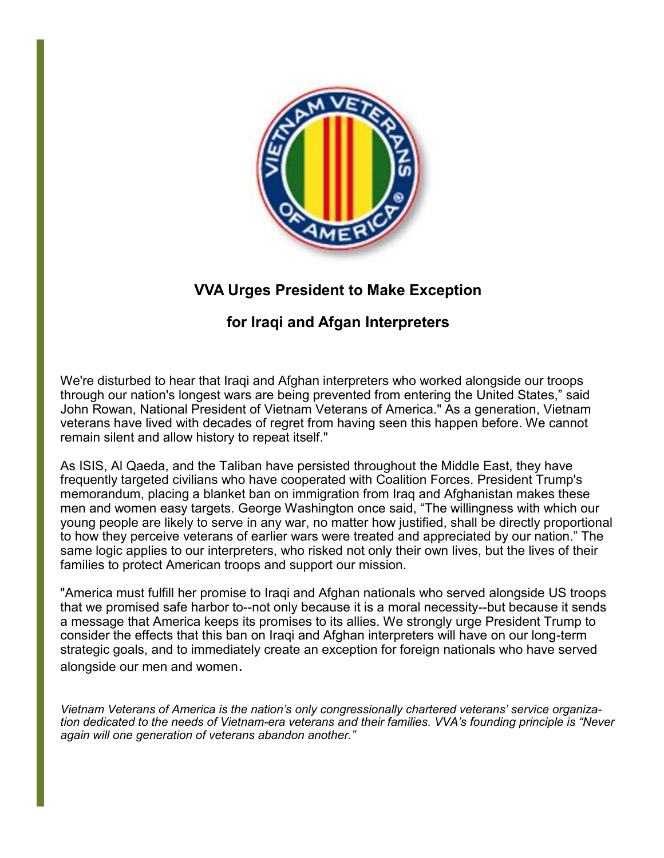

## **VVA Urges President to Make Exception**

### **for Iraqi and Afgan Interpreters**

We're disturbed to hear that Iraqi and Afghan interpreters who worked alongside our troops through our nation's longest wars are being prevented from entering the United States," said John Rowan, National President of Vietnam Veterans of America." As a generation, Vietnam veterans have lived with decades of regret from having seen this happen before. We cannot remain silent and allow history to repeat itself."

As ISIS, Al Qaeda, and the Taliban have persisted throughout the Middle East, they have frequently targeted civilians who have cooperated with Coalition Forces. President Trump's memorandum, placing a blanket ban on immigration from Iraq and Afghanistan makes these men and women easy targets. George Washington once said, "The willingness with which our young people are likely to serve in any war, no matter how justified, shall be directly proportional to how they perceive veterans of earlier wars were treated and appreciated by our nation." The same logic applies to our interpreters, who risked not only their own lives, but the lives of their families to protect American troops and support our mission.

"America must fulfill her promise to Iraqi and Afghan nationals who served alongside US troops that we promised safe harbor to--not only because it is a moral necessity--but because it sends a message that America keeps its promises to its allies. We strongly urge President Trump to consider the effects that this ban on Iraqi and Afghan interpreters will have on our long-term strategic goals, and to immediately create an exception for foreign nationals who have served alongside our men and women.

*Vietnam Veterans of America is the nation's only congressionally chartered veterans' service organization dedicated to the needs of Vietnam-era veterans and their families. VVA's founding principle is "Never again will one generation of veterans abandon another."*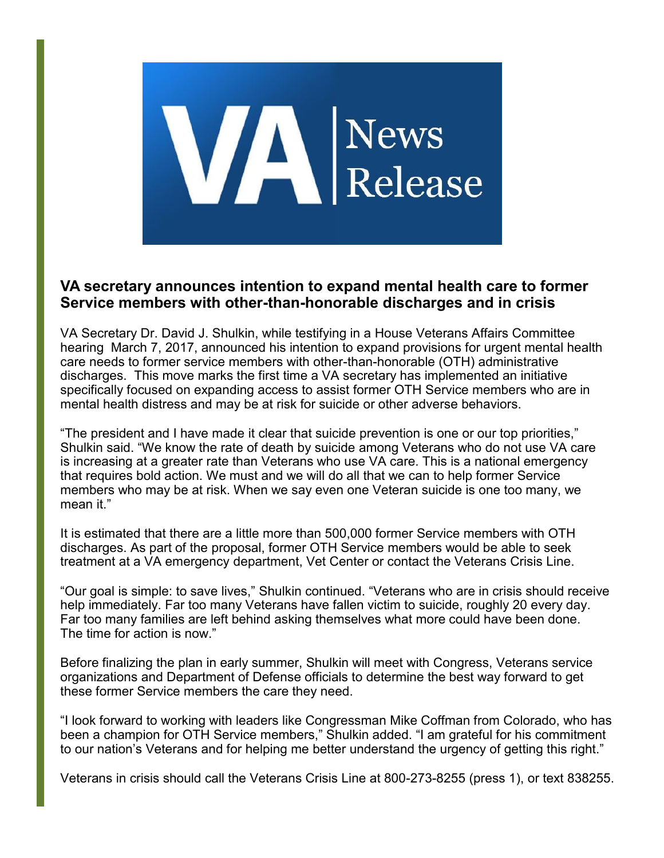

#### **VA secretary announces intention to expand mental health care to former Service members with other-than-honorable discharges and in crisis**

VA Secretary Dr. David J. Shulkin, while testifying in a House Veterans Affairs Committee hearing March 7, 2017, announced his intention to expand provisions for urgent mental health care needs to former service members with other-than-honorable (OTH) administrative discharges. This move marks the first time a VA secretary has implemented an initiative specifically focused on expanding access to assist former OTH Service members who are in mental health distress and may be at risk for suicide or other adverse behaviors.

"The president and I have made it clear that suicide prevention is one or our top priorities," Shulkin said. "We know the rate of death by suicide among Veterans who do not use VA care is increasing at a greater rate than Veterans who use VA care. This is a national emergency that requires bold action. We must and we will do all that we can to help former Service members who may be at risk. When we say even one Veteran suicide is one too many, we mean it."

It is estimated that there are a little more than 500,000 former Service members with OTH discharges. As part of the proposal, former OTH Service members would be able to seek treatment at a VA emergency department, Vet Center or contact the Veterans Crisis Line.

"Our goal is simple: to save lives," Shulkin continued. "Veterans who are in crisis should receive help immediately. Far too many Veterans have fallen victim to suicide, roughly 20 every day. Far too many families are left behind asking themselves what more could have been done. The time for action is now."

Before finalizing the plan in early summer, Shulkin will meet with Congress, Veterans service organizations and Department of Defense officials to determine the best way forward to get these former Service members the care they need.

"I look forward to working with leaders like Congressman Mike Coffman from Colorado, who has been a champion for OTH Service members," Shulkin added. "I am grateful for his commitment to our nation's Veterans and for helping me better understand the urgency of getting this right."

Veterans in crisis should call the Veterans Crisis Line at 800-273-8255 (press 1), or text 838255.